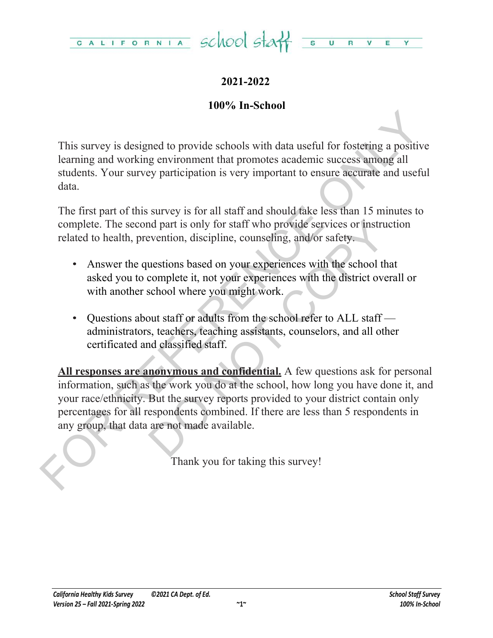

## **2021-2022**

### **100% In-School**

This survey is designed to provide schools with data useful for fostering a positive learning and working environment that promotes academic success among all students. Your survey participation is very important to ensure accurate and useful data.

The first part of this survey is for all staff and should take less than 15 minutes to complete. The second part is only for staff who provide services or instruction related to health, prevention, discipline, counseling, and/or safety.

- Answer the questions based on your experiences with the school that asked you to complete it, not your experiences with the district overall or with another school where you might work.
- Questions about staff or adults from the school refer to ALL staff administrators, teachers, teaching assistants, counselors, and all other certificated and classified staff.

This survey is designed to provide schools with data useful for fostering a positive<br>learning and working environment that promotes academic success among all<br>sudents. Your survey participation is very important to ensure and part is only for staff who provide services or instruct<br>evention, discipline, counseling, and/or safety.<br>uestions based on your experiences with the school that<br>complete it, not your experiences with the district overa **All responses are anonymous and confidential.** A few questions ask for personal information, such as the work you do at the school, how long you have done it, and your race/ethnicity. But the survey reports provided to your district contain only percentages for all respondents combined. If there are less than 5 respondents in any group, that data are not made available.

Thank you for taking this survey!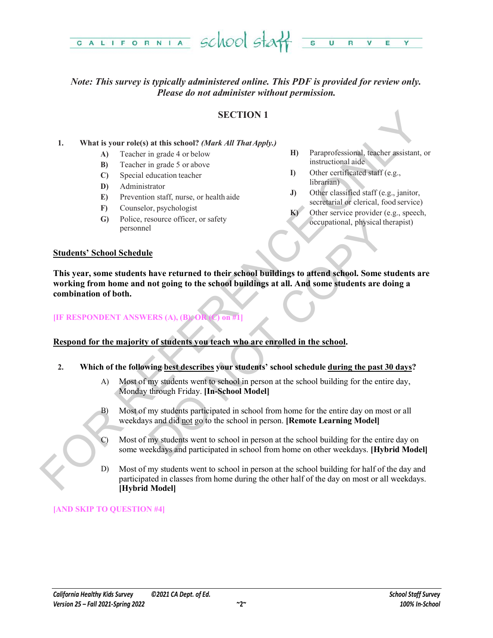

### *Note: This survey is typically administered online. This PDF is provided for review only. Please do not administer without permission.*

### **SECTION 1**

### **1. What is your role(s) at this school?** *(Mark All That Apply.)*

- **A)** Teacher in grade 4 or below
- **B)** Teacher in grade 5 or above
- **C)** Special education teacher
- **D)** Administrator
- **E)** Prevention staff, nurse, or health aide
- **F)** Counselor, psychologist
- **G)** Police, resource officer, or safety personnel
- **H)** Paraprofessional, teacher assistant, or instructional aide
- **I)** Other certificated staff (e.g., librarian)
- **J)** Other classified staff (e.g., janitor, secretarial or clerical, food service)
- **K)** Other service provider (e.g., speech, occupational, physical therapist)

### **Students' School Schedule**

**SECTION 1**<br>
SECTION 1<br>
19 SECTION 1<br>
19 Teacher in grade 4 orbelow<br>
(b) Teacher in grade 3 or showe<br>
(D) Special education technical state<br>
(D) Special education technical state<br>
(D) Special education technical state<br>
(D Sessionce officer, or safety<br>
Le<br>
Le<br>
Le<br>
De lawe returned to their school buildings to attend school. Some students<br>
and returned to the school buildings at all. And some students are doin<br>
ERS (A), (B) OR (J) on #1<br>
of s **This year, some students have returned to their school buildings to attend school. Some students are working from home and not going to the school buildings at all. And some students are doing a combination of both.**

### **[IF RESPONDENT ANSWERS (A), (B), OI**

### **Respond for the majority of students you teach who are enrolled in the school.**

- **2. Which of the following best describes your students' school schedule during the past 30 days?**
	- A) Most of my students went to school in person at the school building for the entire day, Monday through Friday. **[In-School Model]**
	- B) Most of my students participated in school from home for the entire day on most or all weekdays and did not go to the school in person. **[Remote Learning Model]**
	- C) Most of my students went to school in person at the school building for the entire day on some weekdays and participated in school from home on other weekdays. **[Hybrid Model]**
	- D) Most of my students went to school in person at the school building for half of the day and participated in classes from home during the other half of the day on most or all weekdays. **[Hybrid Model]**

### **[AND SKIP TO QUESTION #4]**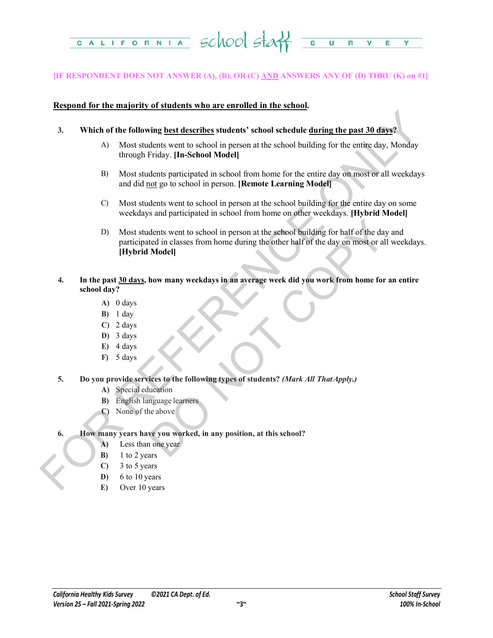

### **[IF RESPONDENT DOES NOT ANSWER (A), (B), OR (C) AND ANSWERS ANY OF (D) THRU (K) on #1]**

### **Respond for the majority of students who are enrolled in the school.**

- **3. Which of the following best describes students' school schedule during the past 30 days?**
	- A) Most students went to school in person at the school building for the entire day, Monday through Friday. **[In-School Model]**
	- B) Most students participated in school from home for the entire day on most or all weekdays and did not go to school in person. **[Remote Learning Model]**
	- C) Most students went to school in person at the school building for the entire day on some weekdays and participated in school from home on other weekdays. **[Hybrid Model]**
- FOR A Mixtures and the following best describes students' school schedule during the past 30 days?<br>
A Most students went to school in person at the school building for the entire day. Monday<br>
through Priday, Hn-School Mod dents went to school in person at the school building for half of the day at<br>et din classes from home during the other half of the day on most or all w<br>**Model**<br>**how many weekdays in an average week did you work from home f** D) Most students went to school in person at the school building for half of the day and participated in classes from home during the other half of the day on most or all weekdays. **[Hybrid Model]**
	- **4. In the past 30 days, how many weekdays in an average week did you work from home for an entire school day?**
		- **A)** 0 days
		- **B)** 1 day
		- **C)** 2 days
		- **D)** 3 days
		- **E)** 4 days
		- **F)** 5 days
	- **5. Do you provide services to the following types of students?** *(Mark All That Apply.)*
		- **A)** Special education
		- **B)** English language learners
		- **C)** None of the above
	- **6. How many years have you worked, in any position, at this school?**
		- **A)** Less than one year
		- **B)** 1 to 2 years
		- **C)** 3 to 5 years
		- **D)** 6 to 10 years
		- **E)** Over 10 years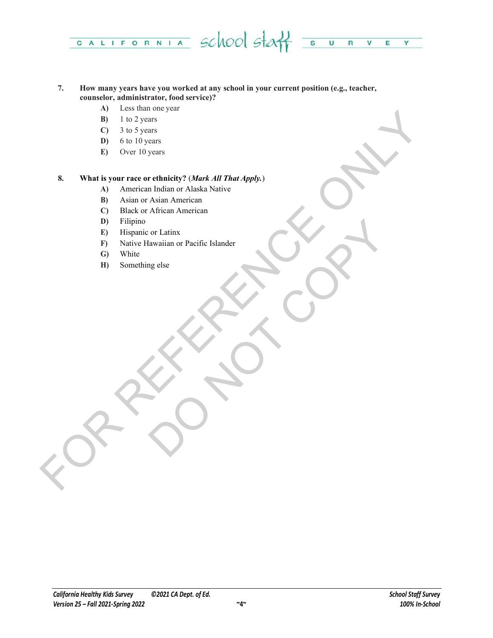

### **7. How many years have you worked at any school in your current position (e.g., teacher, counselor, administrator, food service)?**

- **A)** Less than one year
- **B)** 1 to 2 years
- **C)** 3 to 5 years
- **D)** 6 to 10 years
- **E)** Over 10 years

# FOR THE CHAPTER CONTROL CONTROL CONTROL CONTROL CONTROL CONTROL CONTROL CONTROL CONTROL CONTROL CONTROL CONTROL CONTROL CONTROL CONTROL CONTROL CONTROL CONTROL CONTROL CONTROL CONTROL CONTROL CONTROL CONTROL CONTROL CONTRO **8. What is your race or ethnicity?** (*Mark All That Apply.*)

- **A)** American Indian or Alaska Native
- **B)** Asian or Asian American
- **C)** Black or African American
- **D)** Filipino
- **E)** Hispanic or Latinx
- or Latinx<br>algorithm or Pacific Islander<br>Copy of the Copy of the Copy of the Copy of the Copy of the Copy of the Copy of the Copy of the Copy of the Copy of the Copy of the Copy of the Copy of the Copy of the Copy of the Co **F)** Native Hawaiian or Pacific Islander
- **G)** White
- **H)** Something else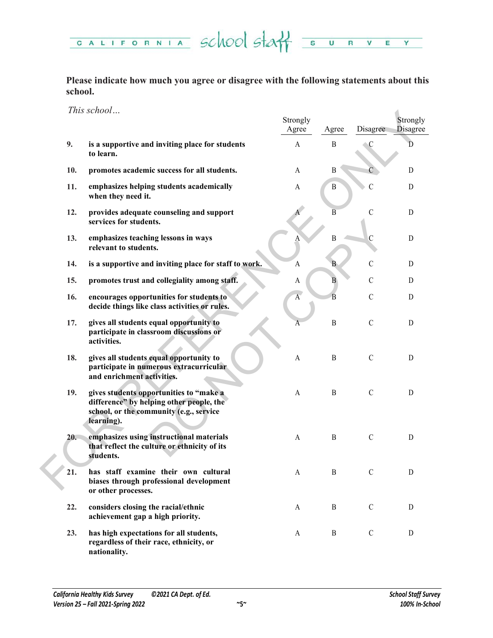CALIFORNIA SCHOOL STAT SURVE  $Y =$ 

**Please indicate how much you agree or disagree with the following statements about this school.**

*This school…*

|     | <i>INIS SCHOOL</i>                                                                                                                           | Strongly<br>Agree | Agree          | Disagree      | Strongly<br><b>Disagree</b> |
|-----|----------------------------------------------------------------------------------------------------------------------------------------------|-------------------|----------------|---------------|-----------------------------|
| 9.  | is a supportive and inviting place for students<br>to learn.                                                                                 | $\mathbf{A}$      | $\mathbf{B}$   | C             | D                           |
| 10. | promotes academic success for all students.                                                                                                  | A                 | B              |               | D                           |
| 11. | emphasizes helping students academically<br>when they need it.                                                                               | A                 | B              | С             | D                           |
| 12. | provides adequate counseling and support<br>services for students.                                                                           |                   | $\overline{B}$ | $\mathcal{C}$ | D                           |
| 13. | emphasizes teaching lessons in ways<br>relevant to students.                                                                                 |                   | $\mathbf{B}$   | $\mathcal{C}$ | $\mathbf D$                 |
| 14. | is a supportive and inviting place for staff to work.                                                                                        | A                 | B              | $\mathcal{C}$ | D                           |
| 15. | promotes trust and collegiality among staff.                                                                                                 | A                 | B              | $\mathcal{C}$ | D                           |
| 16. | encourages opportunities for students to<br>decide things like class activities or rules.                                                    | $\overline{A}$    | $\overline{B}$ | $\mathcal{C}$ | D                           |
| 17. | gives all students equal opportunity to<br>participate in classroom discussions or<br>activities.                                            | А                 | $\, {\bf B}$   | $\mathsf C$   | D                           |
| 18. | gives all students equal opportunity to<br>participate in numerous extracurricular<br>and enrichment activities.                             | A                 | B              | $\mathcal{C}$ | D                           |
| 19. | gives students opportunities to "make a<br>difference" by helping other people, the<br>school, or the community (e.g., service<br>learning). | A                 | $\mathbf{B}$   | $\mathcal{C}$ | $\mathbf D$                 |
| 20. | emphasizes using instructional materials<br>that reflect the culture or ethnicity of its<br>students.                                        | A                 | $\mathbf{B}$   | $\mathcal{C}$ | D                           |
| 21. | has staff examine their own cultural<br>biases through professional development<br>or other processes.                                       | $\mathbf{A}$      | $\, {\bf B}$   | $\mathcal{C}$ | D                           |
| 22. | considers closing the racial/ethnic<br>achievement gap a high priority.                                                                      | A                 | B              | $\mathcal{C}$ | D                           |
| 23. | has high expectations for all students,<br>regardless of their race, ethnicity, or<br>nationality.                                           | A                 | B              | $\mathcal{C}$ | D                           |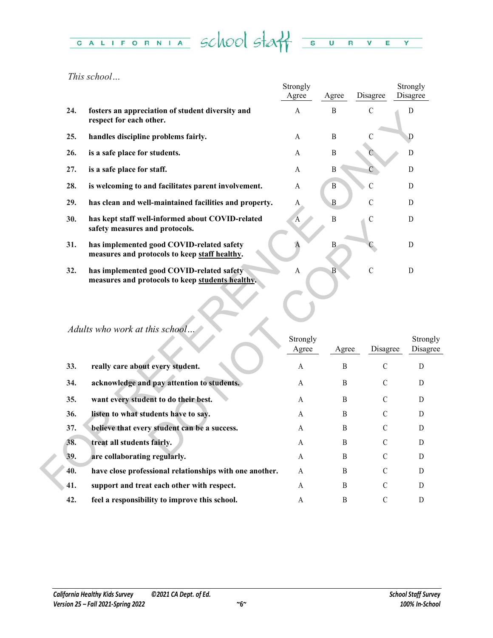### CALIFORNIA School Staff  $\overline{\mathbf{s}}$  $\overline{\mathbf{u}}$  $R$   $V$   $E$  $Y =$

*This school…*

|     |                                                                                               | Strongly<br>Agree | Agree          | Disagree       | Strongly<br>Disagree |
|-----|-----------------------------------------------------------------------------------------------|-------------------|----------------|----------------|----------------------|
| 24. | fosters an appreciation of student diversity and<br>respect for each other.                   | A                 | B              | $\mathcal{C}$  | D                    |
| 25. | handles discipline problems fairly.                                                           | A                 | B              | $\mathcal{C}$  | D                    |
| 26. | is a safe place for students.                                                                 | A                 | $\mathbf B$    |                | D                    |
| 27. | is a safe place for staff.                                                                    | A                 | B              | C              | D                    |
| 28. | is welcoming to and facilitates parent involvement.                                           | A                 | $\, {\bf B}$   | $\overline{C}$ | D                    |
| 29. | has clean and well-maintained facilities and property.                                        | A                 | $\, {\bf B}$   | $\mathcal{C}$  | D                    |
| 30. | has kept staff well-informed about COVID-related<br>safety measures and protocols.            | A                 | $\, {\bf B}$   | $\mathcal{C}$  | D                    |
| 31. | has implemented good COVID-related safety<br>measures and protocols to keep staff healthy.    | A                 | $\mathbf B$    |                | D                    |
| 32. | has implemented good COVID-related safety<br>measures and protocols to keep students healthy. | A                 | $\overline{B}$ | $\overline{C}$ | $\mathbf D$          |
|     | Adults who work at this school.                                                               | Strongly          |                |                | Strong               |
|     |                                                                                               | Agree             | Agree          | Disagree       | Disagr               |
| 33. | really care about every student.                                                              | A                 | B              | $\mathcal{C}$  | D                    |
| 34. | acknowledge and pay attention to students.                                                    | A                 | B              | $\mathcal{C}$  | D                    |
| 35. | want every student to do their best.                                                          | A                 | B              | C              | D                    |
| 36. | listen to what students have to say.                                                          | A                 | B              | C              | D                    |
| 37. | believe that every student can be a success.                                                  | A                 | B              | C              | D                    |
| 38. | treat all students fairly.                                                                    | A                 | B              | $\mathcal{C}$  | D                    |
| 39. | are collaborating regularly.                                                                  | A                 | B              | C              | D                    |
| 40. | have close professional relationships with one another.                                       | A                 | B              | $\mathcal{C}$  | D                    |
| 41. | support and treat each other with respect.                                                    | A                 | B              | $\mathcal{C}$  | D                    |

# *Adults who work at this school…*

| JU. | nas kept start wen-informed about COVID-related<br>safety measures and protocols.             | 'A                | D              | ◡             | D                    |
|-----|-----------------------------------------------------------------------------------------------|-------------------|----------------|---------------|----------------------|
| 31. | has implemented good COVID-related safety<br>measures and protocols to keep staff healthy.    | A                 | $\, {\bf B}$   |               | $\mathbf D$          |
| 32. | has implemented good COVID-related safety<br>measures and protocols to keep students healthy. | A                 | $\overline{B}$ | $\mathcal{C}$ | D                    |
|     | Adults who work at this school                                                                | Strongly<br>Agree | Agree          | Disagree      | Strongly<br>Disagree |
| 33. | really care about every student.                                                              | A                 | B              | $\mathcal{C}$ | D                    |
| 34. | acknowledge and pay attention to students.                                                    | A                 | B              | $\mathcal{C}$ | D                    |
| 35. | want every student to do their best.                                                          | A                 | B              | $\mathcal{C}$ | D                    |
| 36. | listen to what students have to say.                                                          | A                 | <sub>B</sub>   | $\mathcal{C}$ | D                    |
| 37. | believe that every student can be a success.                                                  | A                 | B              | $\mathcal{C}$ | D                    |
| 38. | treat all students fairly.                                                                    | A                 | B              | $\mathcal{C}$ | D                    |
| 39. | are collaborating regularly.                                                                  | A                 | B              | $\mathcal{C}$ | D                    |
| 40. | have close professional relationships with one another.                                       | A                 | <sub>B</sub>   | $\mathcal{C}$ | D                    |
| 41. | support and treat each other with respect.                                                    | A                 | B              | $\mathcal{C}$ | D                    |
| 42. | feel a responsibility to improve this school.                                                 | A                 | B              | $\mathcal{C}$ | D                    |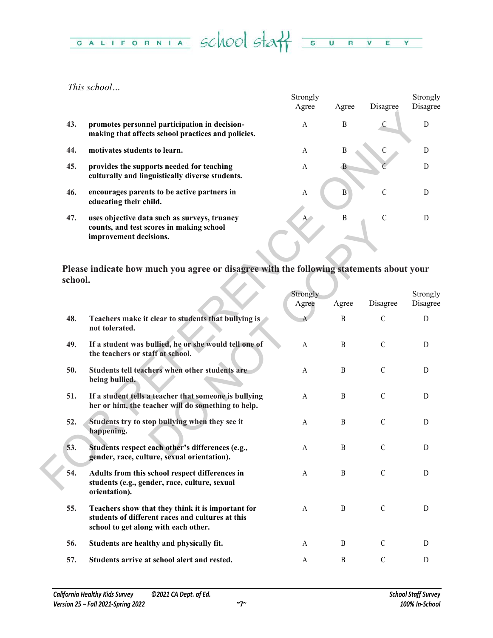# CALIFORNIA SCHOOL STAT SURVEY

*This school…*

|     |                                                                                                                    | Strongly       |       |               | Strongly |
|-----|--------------------------------------------------------------------------------------------------------------------|----------------|-------|---------------|----------|
|     |                                                                                                                    | Agree          | Agree | Disagree      | Disagree |
| 43. | promotes personnel participation in decision-<br>making that affects school practices and policies.                | A              | B     | С             | D        |
| 44. | motivates students to learn.                                                                                       | A              | B     |               | D        |
| 45. | provides the supports needed for teaching<br>culturally and linguistically diverse students.                       | A              |       |               | D        |
| 46. | encourages parents to be active partners in<br>educating their child.                                              | $\overline{A}$ | B     | $\mathcal{C}$ |          |
| 47. | uses objective data such as surveys, truancy<br>counts, and test scores in making school<br>improvement decisions. | $A^{\wedge}$   | B     | C             |          |

| 43.     | promotes personnel participation in decision-<br>making that affects school practices and policies.                                           | A                     | B                | $\mathsf C$   | D                    |
|---------|-----------------------------------------------------------------------------------------------------------------------------------------------|-----------------------|------------------|---------------|----------------------|
| 44.     | motivates students to learn.                                                                                                                  | A                     | B                | $\mathsf C$   | D                    |
| 45.     | provides the supports needed for teaching<br>culturally and linguistically diverse students.                                                  | A                     | $\mathbf{B}$     |               | D                    |
| 46.     | encourages parents to be active partners in<br>educating their child.                                                                         | A                     | $\boldsymbol{B}$ | $\mathcal{C}$ | D                    |
| 47.     | uses objective data such as surveys, truancy<br>counts, and test scores in making school<br>improvement decisions.                            | $A^{\bullet}$         | $\boldsymbol{B}$ | $\mathcal{C}$ | D                    |
| school. | Please indicate how much you agree or disagree with the following statements about your                                                       |                       |                  |               |                      |
|         |                                                                                                                                               | Strongly<br>Agree     | Agree            | Disagree      | Strongly<br>Disagree |
| 48.     | Teachers make it clear to students that bullying is<br>not tolerated.                                                                         |                       | $\mathbf{B}$     | $\mathcal{C}$ | D                    |
| 49.     | If a student was bullied, he or she would tell one of<br>the teachers or staff at school.                                                     | A                     | $\boldsymbol{B}$ | $\mathcal{C}$ | D                    |
| 50.     | Students tell teachers when other students are<br>being bullied.                                                                              | A                     | B                | $\mathcal{C}$ | D                    |
| 51.     | If a student tells a teacher that someone is bullying<br>her or him, the teacher will do something to help.                                   | A                     | B                | $\mathcal{C}$ | D                    |
| 52.     | Students try to stop bullying when they see it<br>happening.                                                                                  | A                     | $\boldsymbol{B}$ | $\mathcal{C}$ | D                    |
| 53.     | Students respect each other's differences (e.g.,<br>gender, race, culture, sexual orientation).                                               | A                     | B                | $\mathcal{C}$ | D                    |
| 54.     | Adults from this school respect differences in<br>students (e.g., gender, race, culture, sexual<br>orientation).                              | $\boldsymbol{\rm{A}}$ | B                | $\mathcal{C}$ | D                    |
| 55.     | Teachers show that they think it is important for<br>students of different races and cultures at this<br>school to get along with each other. | A                     | $\mathbf{B}$     | $\mathbf C$   | D                    |
| 56.     | Students are healthy and physically fit.                                                                                                      | A                     | B                | $\mathbf C$   | D                    |
| 57.     | Students arrive at school alert and rested.                                                                                                   | A                     | $\, {\bf B}$     | $\mathsf C$   | D                    |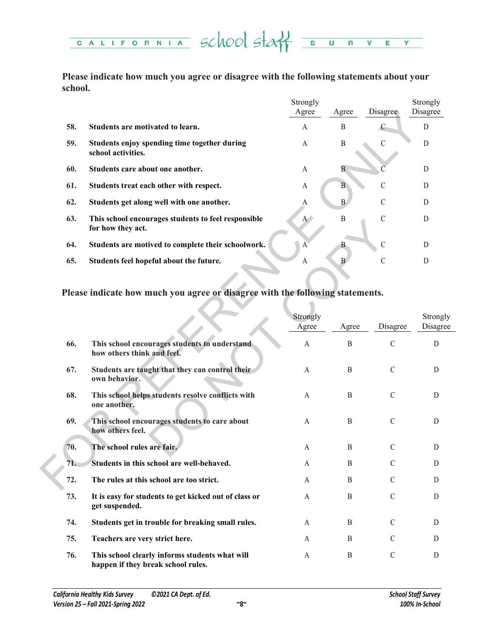

**Please indicate how much you agree or disagree with the following statements about your school.**

|     |                                                                          | Strongly      |       |               | Strongly |
|-----|--------------------------------------------------------------------------|---------------|-------|---------------|----------|
|     |                                                                          | Agree         | Agree | Disagree      | Disagree |
| 58. | Students are motivated to learn.                                         | A             | B     | C             | D        |
| 59. | Students enjoy spending time together during<br>school activities.       | A             | B     |               | D        |
| 60. | Students care about one another.                                         | A             | B     |               | D        |
| 61. | Students treat each other with respect.                                  | A             | B     | $\mathcal{C}$ | D        |
| 62. | Students get along well with one another.                                | A             | B     | $\mathcal{C}$ | D        |
| 63. | This school encourages students to feel responsible<br>for how they act. | $A^{\bullet}$ | B     | C             | D        |
| 64. | Students are motived to complete their schoolwork.                       | $\mathbf{A}$  |       | $\mathcal{C}$ | D        |
| 65. | Students feel hopeful about the future.                                  | A             | B     | $\mathcal{C}$ | D        |
|     |                                                                          |               |       |               |          |

|     |                                                                                      | Agree                 | Agree            | <b>Disagree</b> | Disagree    |
|-----|--------------------------------------------------------------------------------------|-----------------------|------------------|-----------------|-------------|
| 58. | Students are motivated to learn.                                                     | A                     | $\, {\bf B}$     | $\epsilon$      | $\mathbf D$ |
| 59. | Students enjoy spending time together during<br>school activities.                   | A                     | $\, {\bf B}$     | $\mathbf C$     | $\mathbf D$ |
| 60. | Students care about one another.                                                     | A                     | $\overline{B}$   |                 | $\mathbf D$ |
| 61. | Students treat each other with respect.                                              | A                     | B                | $\mathcal{C}$   | D           |
| 62. | Students get along well with one another.                                            | A                     | $\mathbf{B}$     | $\mathsf C$     | D           |
| 63. | This school encourages students to feel responsible<br>for how they act.             | $A^+$                 | $\, {\bf B}$     | $\mathcal{C}$   | $\mathbf D$ |
| 64. | Students are motived to complete their schoolwork.                                   | $\mathbf{A}$          | B                | $\mathcal{C}$   | D           |
| 65. | Students feel hopeful about the future.                                              | A                     | $\mathbf{B}$     | C               | D           |
|     | Please indicate how much you agree or disagree with the following statements.        | Strongly              |                  |                 | Strongly    |
|     |                                                                                      | Agree                 | Agree            | Disagree        | Disagree    |
| 66. | This school encourages students to understand<br>how others think and feel.          | $\boldsymbol{\rm{A}}$ | $\, {\bf B}$     | $\mathcal{C}$   | ${\rm D}$   |
| 67. | Students are taught that they can control their<br>own behavior.                     | A                     | B                | $\mathcal{C}$   | D           |
| 68. | This school helps students resolve conflicts with<br>one another.                    | A                     | B                | $\mathcal{C}$   | D           |
| 69. | This school encourages students to care about<br>how others feel.                    | A                     | B                | $\mathcal{C}$   | D           |
| 70. | The school rules are fair.                                                           | A                     | $\boldsymbol{B}$ | $\mathcal{C}$   | D           |
| 71. | Students in this school are well-behaved.                                            | A                     | B                | $\mathcal{C}$   | D           |
| 72. | The rules at this school are too strict.                                             | A                     | $\boldsymbol{B}$ | $\mathcal{C}$   | D           |
| 73. | It is easy for students to get kicked out of class or<br>get suspended.              | A                     | $\boldsymbol{B}$ | $\mathbf C$     | D           |
| 74. | Students get in trouble for breaking small rules.                                    | A                     | B                | $\mathcal{C}$   | D           |
| 75. | Teachers are very strict here.                                                       | A                     | B                | $\mathcal{C}$   | D           |
| 76. | This school clearly informs students what will<br>happen if they break school rules. | A                     | B                | $\mathcal{C}$   | D           |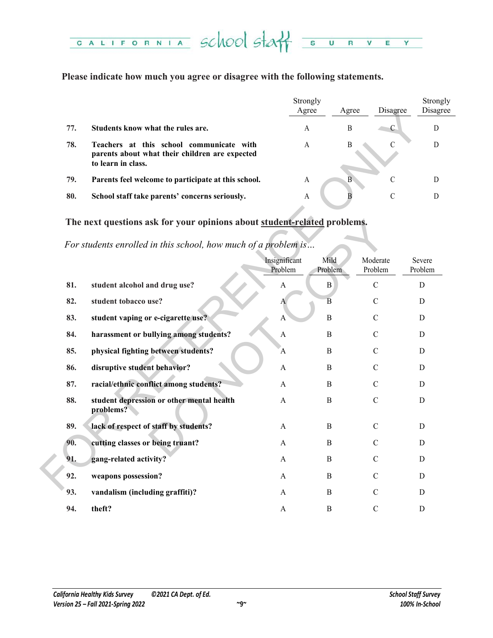### CALIFORNIA School staff  $\overline{\mathbf{s}}$  $\overline{u}$  $\overline{\phantom{a}}$  $\overline{\mathbf{R}}$  $\overline{\mathsf{v}}$ E Y

### **Please indicate how much you agree or disagree with the following statements.**

|     |                                                                                                                  | Strongly<br>Agree | Agree | Disagree | Strongly<br>Disagree |
|-----|------------------------------------------------------------------------------------------------------------------|-------------------|-------|----------|----------------------|
| 77. | Students know what the rules are.                                                                                | А                 | B     | C        |                      |
| 78. | Teachers at this school communicate with<br>parents about what their children are expected<br>to learn in class. | A                 | B     |          | D                    |
| 79. | Parents feel welcome to participate at this school.                                                              | A                 | B     | C        |                      |
| 80. | School staff take parents' concerns seriously.                                                                   | A                 |       |          |                      |

### **The next questions ask for your opinions about student-related problems.**

|     |                                                                                                                  | Agree                    |                 | Agree            | Disagree            | Disag             |
|-----|------------------------------------------------------------------------------------------------------------------|--------------------------|-----------------|------------------|---------------------|-------------------|
| 77. | Students know what the rules are.                                                                                | A                        |                 | B                | $\mathcal{C}$       | $\mathbf{D}$      |
| 78. | Teachers at this school communicate with<br>parents about what their children are expected<br>to learn in class. | A                        |                 | $\boldsymbol{B}$ | C                   | $\mathbf D$       |
| 79. | Parents feel welcome to participate at this school.                                                              | $\mathbf{A}$             |                 | B                | $\mathbf C$         | $\mathbf{D}$      |
| 80. | School staff take parents' concerns seriously.                                                                   | A                        |                 | B                | $\mathcal{C}$       | $\overline{D}$    |
|     | The next questions ask for your opinions about student-related problems.                                         |                          |                 |                  |                     |                   |
|     | For students enrolled in this school, how much of a problem is                                                   |                          |                 |                  |                     |                   |
|     |                                                                                                                  | Insignificant<br>Problem | Mild<br>Problem |                  | Moderate<br>Problem | Severe<br>Problem |
| 81. | student alcohol and drug use?                                                                                    | A                        | $\, {\bf B}$    |                  | $\mathcal{C}$       | D                 |
| 82. | student tobacco use?                                                                                             | A                        | $\overline{B}$  |                  | $\mathcal{C}$       | D                 |
| 83. | student vaping or e-cigarette use?                                                                               | A                        | $\, {\bf B}$    |                  | $\mathcal{C}$       | $\mathbf D$       |
| 84. | harassment or bullying among students?                                                                           | A                        | B               |                  | C                   | D                 |
| 85. | physical fighting between students?                                                                              | A                        | $\, {\bf B}$    |                  | $\mathcal{C}$       | D                 |
| 86. | disruptive student behavior?                                                                                     | A                        | B               |                  | C                   | D                 |
| 87. | racial/ethnic conflict among students?                                                                           | A                        | B               |                  | $\mathcal{C}$       | $\mathbf D$       |
| 88. | student depression or other mental health<br>problems?                                                           | A                        | B               |                  | $\mathcal{C}$       | D                 |
| 89. | lack of respect of staff by students?                                                                            | A                        | B               |                  | $\mathcal{C}$       | D                 |
| 90. | cutting classes or being truant?                                                                                 | A                        | B               |                  | C                   | D                 |
| 91. | gang-related activity?                                                                                           | A                        | B               |                  | C                   | $\mathbf D$       |
| 92. | weapons possession?                                                                                              | A                        | B               |                  | $\mathcal{C}$       | D                 |
| 93. | vandalism (including graffiti)?                                                                                  | A                        | B               |                  | $\mathcal{C}$       | D                 |
| 94. | theft?                                                                                                           | A                        | B               |                  | $\mathcal{C}$       | D                 |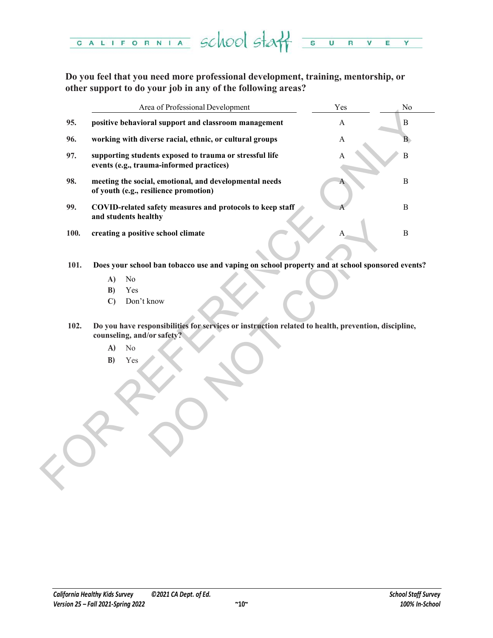

**Do you feel that you need more professional development, training, mentorship, or other support to do your job in any of the following areas?**

|      | Area of Professional Development                                                                                                  | Yes | No           |
|------|-----------------------------------------------------------------------------------------------------------------------------------|-----|--------------|
| 95.  | positive behavioral support and classroom management                                                                              | A   | $\, {\bf B}$ |
| 96.  | working with diverse racial, ethnic, or cultural groups                                                                           | A   | B.           |
| 97.  | supporting students exposed to trauma or stressful life<br>events (e.g., trauma-informed practices)                               | A   | $\, {\bf B}$ |
| 98.  | meeting the social, emotional, and developmental needs<br>of youth (e.g., resilience promotion)                                   |     | $\mathbf B$  |
| 99.  | COVID-related safety measures and protocols to keep staff<br>and students healthy                                                 |     | $\mathbf B$  |
| 100. | creating a positive school climate                                                                                                |     | $\, {\bf B}$ |
|      |                                                                                                                                   |     |              |
| 101. | Does your school ban tobacco use and vaping on school property and at school sponsored events?                                    |     |              |
|      | No<br>A)                                                                                                                          |     |              |
|      | B)<br>Yes                                                                                                                         |     |              |
|      | Don't know<br>$\mathbf{C}$                                                                                                        |     |              |
| 102. | Do you have responsibilities for services or instruction related to health, prevention, discipline,<br>counseling, and/or safety? |     |              |
|      | A)<br>No                                                                                                                          |     |              |
|      | B)<br>Yes                                                                                                                         |     |              |
|      |                                                                                                                                   |     |              |
|      |                                                                                                                                   |     |              |
|      |                                                                                                                                   |     |              |
|      |                                                                                                                                   |     |              |
|      |                                                                                                                                   |     |              |
|      |                                                                                                                                   |     |              |
|      |                                                                                                                                   |     |              |
|      |                                                                                                                                   |     |              |
|      |                                                                                                                                   |     |              |

- **101. Does your school ban tobacco use and vaping on school property and at school sponsored events?**
	- **A)** No
	- **B)** Yes
	- **C)** Don't know
- **102. Do you have responsibilities for services or instruction related to health, prevention, discipline, counseling, and/or safety?**
	- **A)** No
	- **B)** Yes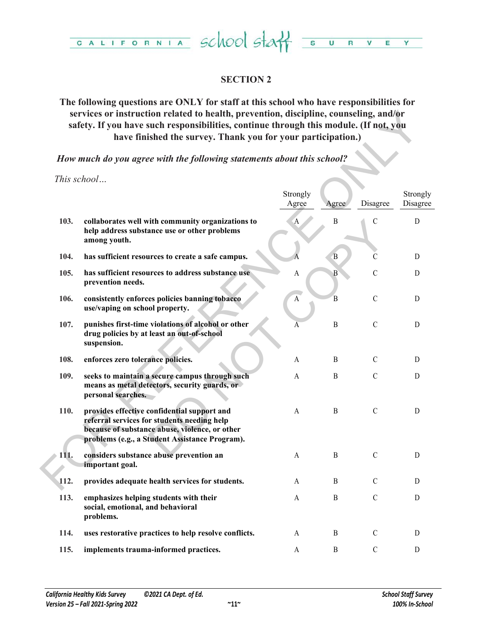

### **SECTION 2**

### **The following questions are ONLY for staff at this school who have responsibilities for services or instruction related to health, prevention, discipline, counseling, and/or safety. If you have such responsibilities, continue through this module. (If not, you have finished the survey. Thank you for your participation.)**

| services or instruction related to health, prevention, discipline, counseling, and/or<br>safety. If you have such responsibilities, continue through this module. (If not, you<br>have finished the survey. Thank you for your participation.) |                                                                                                                                                                                                |                   |              |               |                      |  |  |  |
|------------------------------------------------------------------------------------------------------------------------------------------------------------------------------------------------------------------------------------------------|------------------------------------------------------------------------------------------------------------------------------------------------------------------------------------------------|-------------------|--------------|---------------|----------------------|--|--|--|
|                                                                                                                                                                                                                                                | How much do you agree with the following statements about this school?                                                                                                                         |                   |              |               |                      |  |  |  |
|                                                                                                                                                                                                                                                | This school                                                                                                                                                                                    | Strongly<br>Agree | Agree        | Disagree      | Strongly<br>Disagree |  |  |  |
| 103.                                                                                                                                                                                                                                           | collaborates well with community organizations to<br>help address substance use or other problems<br>among youth.                                                                              | $\mathbf{A}$      | B            | $\mathcal{C}$ | D                    |  |  |  |
| 104.                                                                                                                                                                                                                                           | has sufficient resources to create a safe campus.                                                                                                                                              |                   | B            | C             | D                    |  |  |  |
| 105.                                                                                                                                                                                                                                           | has sufficient resources to address substance use<br>prevention needs.                                                                                                                         | $\boldsymbol{A}$  | $\mathbf{B}$ | $\mathcal{C}$ | D                    |  |  |  |
| 106.                                                                                                                                                                                                                                           | consistently enforces policies banning tobacco<br>use/vaping on school property.                                                                                                               | $\mathbf A$       | B            | $\mathcal{C}$ | D                    |  |  |  |
| 107.                                                                                                                                                                                                                                           | punishes first-time violations of alcohol or other<br>drug policies by at least an out-of-school<br>suspension.                                                                                | А                 | $\, {\bf B}$ | $\mathcal{C}$ | D                    |  |  |  |
| 108.                                                                                                                                                                                                                                           | enforces zero tolerance policies.                                                                                                                                                              | A                 | B            | $\mathcal{C}$ | D                    |  |  |  |
| 109.                                                                                                                                                                                                                                           | seeks to maintain a secure campus through such<br>means as metal detectors, security guards, or<br>personal searches.                                                                          | $\overline{A}$    | $\, {\bf B}$ | $\mathcal{C}$ | D                    |  |  |  |
| 110.                                                                                                                                                                                                                                           | provides effective confidential support and<br>referral services for students needing help<br>because of substance abuse, violence, or other<br>problems (e.g., a Student Assistance Program). | A                 | B            | $\mathcal{C}$ | D                    |  |  |  |
| 111.                                                                                                                                                                                                                                           | considers substance abuse prevention an<br>important goal.                                                                                                                                     | A                 | B            | $\mathcal{C}$ | D                    |  |  |  |
| 112.                                                                                                                                                                                                                                           | provides adequate health services for students.                                                                                                                                                | A                 | B            | $\mathcal{C}$ | D                    |  |  |  |
| 113.                                                                                                                                                                                                                                           | emphasizes helping students with their<br>social, emotional, and behavioral<br>problems.                                                                                                       | A                 | B            | $\mathcal{C}$ | D                    |  |  |  |
| 114.                                                                                                                                                                                                                                           | uses restorative practices to help resolve conflicts.                                                                                                                                          | A                 | B            | $\mathcal{C}$ | D                    |  |  |  |
| 115.                                                                                                                                                                                                                                           | implements trauma-informed practices.                                                                                                                                                          | A                 | B            | $\mathbf C$   | D                    |  |  |  |